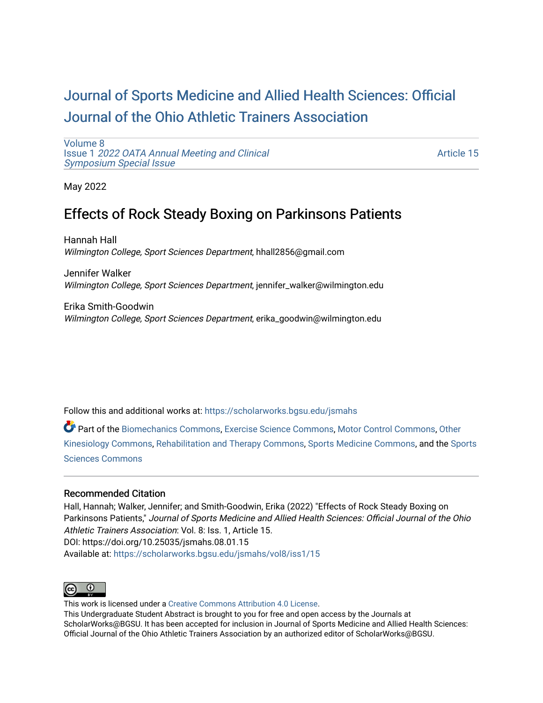# [Journal of Sports Medicine and Allied Health Sciences: Official](https://scholarworks.bgsu.edu/jsmahs)  [Journal of the Ohio Athletic Trainers Association](https://scholarworks.bgsu.edu/jsmahs)

[Volume 8](https://scholarworks.bgsu.edu/jsmahs/vol8) Issue 1 [2022 OATA Annual Meeting and Clinical](https://scholarworks.bgsu.edu/jsmahs/vol8/iss1) [Symposium Special Issue](https://scholarworks.bgsu.edu/jsmahs/vol8/iss1)

[Article 15](https://scholarworks.bgsu.edu/jsmahs/vol8/iss1/15) 

May 2022

## Effects of Rock Steady Boxing on Parkinsons Patients

Hannah Hall Wilmington College, Sport Sciences Department, hhall2856@gmail.com

Jennifer Walker Wilmington College, Sport Sciences Department, jennifer\_walker@wilmington.edu

Erika Smith-Goodwin Wilmington College, Sport Sciences Department, erika\_goodwin@wilmington.edu

Follow this and additional works at: [https://scholarworks.bgsu.edu/jsmahs](https://scholarworks.bgsu.edu/jsmahs?utm_source=scholarworks.bgsu.edu%2Fjsmahs%2Fvol8%2Fiss1%2F15&utm_medium=PDF&utm_campaign=PDFCoverPages)

Part of the [Biomechanics Commons,](https://network.bepress.com/hgg/discipline/43?utm_source=scholarworks.bgsu.edu%2Fjsmahs%2Fvol8%2Fiss1%2F15&utm_medium=PDF&utm_campaign=PDFCoverPages) [Exercise Science Commons](https://network.bepress.com/hgg/discipline/1091?utm_source=scholarworks.bgsu.edu%2Fjsmahs%2Fvol8%2Fiss1%2F15&utm_medium=PDF&utm_campaign=PDFCoverPages), [Motor Control Commons](https://network.bepress.com/hgg/discipline/45?utm_source=scholarworks.bgsu.edu%2Fjsmahs%2Fvol8%2Fiss1%2F15&utm_medium=PDF&utm_campaign=PDFCoverPages), [Other](https://network.bepress.com/hgg/discipline/47?utm_source=scholarworks.bgsu.edu%2Fjsmahs%2Fvol8%2Fiss1%2F15&utm_medium=PDF&utm_campaign=PDFCoverPages)  [Kinesiology Commons,](https://network.bepress.com/hgg/discipline/47?utm_source=scholarworks.bgsu.edu%2Fjsmahs%2Fvol8%2Fiss1%2F15&utm_medium=PDF&utm_campaign=PDFCoverPages) [Rehabilitation and Therapy Commons](https://network.bepress.com/hgg/discipline/749?utm_source=scholarworks.bgsu.edu%2Fjsmahs%2Fvol8%2Fiss1%2F15&utm_medium=PDF&utm_campaign=PDFCoverPages), [Sports Medicine Commons](https://network.bepress.com/hgg/discipline/1331?utm_source=scholarworks.bgsu.edu%2Fjsmahs%2Fvol8%2Fiss1%2F15&utm_medium=PDF&utm_campaign=PDFCoverPages), and the [Sports](https://network.bepress.com/hgg/discipline/759?utm_source=scholarworks.bgsu.edu%2Fjsmahs%2Fvol8%2Fiss1%2F15&utm_medium=PDF&utm_campaign=PDFCoverPages)  [Sciences Commons](https://network.bepress.com/hgg/discipline/759?utm_source=scholarworks.bgsu.edu%2Fjsmahs%2Fvol8%2Fiss1%2F15&utm_medium=PDF&utm_campaign=PDFCoverPages) 

#### Recommended Citation

Hall, Hannah; Walker, Jennifer; and Smith-Goodwin, Erika (2022) "Effects of Rock Steady Boxing on Parkinsons Patients," Journal of Sports Medicine and Allied Health Sciences: Official Journal of the Ohio Athletic Trainers Association: Vol. 8: Iss. 1, Article 15. DOI: https://doi.org/10.25035/jsmahs.08.01.15 Available at: [https://scholarworks.bgsu.edu/jsmahs/vol8/iss1/15](https://scholarworks.bgsu.edu/jsmahs/vol8/iss1/15?utm_source=scholarworks.bgsu.edu%2Fjsmahs%2Fvol8%2Fiss1%2F15&utm_medium=PDF&utm_campaign=PDFCoverPages) 



This work is licensed under a [Creative Commons Attribution 4.0 License](https://creativecommons.org/licenses/by/4.0/). This Undergraduate Student Abstract is brought to you for free and open access by the Journals at ScholarWorks@BGSU. It has been accepted for inclusion in Journal of Sports Medicine and Allied Health Sciences: Official Journal of the Ohio Athletic Trainers Association by an authorized editor of ScholarWorks@BGSU.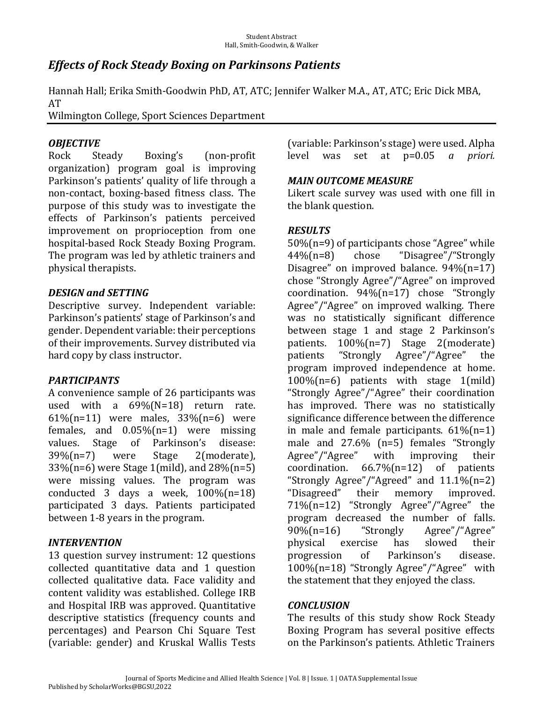## *Effects of Rock Steady Boxing on Parkinsons Patients*

Hannah Hall; Erika Smith-Goodwin PhD, AT, ATC; Jennifer Walker M.A., AT, ATC; Eric Dick MBA, AT

Wilmington College, Sport Sciences Department

### *OBJECTIVE*

Rock Steady Boxing's (non-profit organization) program goal is improving Parkinson's patients' quality of life through a non-contact, boxing-based fitness class. The purpose of this study was to investigate the effects of Parkinson's patients perceived improvement on proprioception from one hospital-based Rock Steady Boxing Program. The program was led by athletic trainers and physical therapists.

#### *DESIGN.and.SETTING*

Descriptive survey. Independent variable: Parkinson's patients' stage of Parkinson's and gender. Dependent variable: their perceptions of their improvements. Survey distributed via hard copy by class instructor.

#### *PARTICIPANTS*

A convenience sample of 26 participants was used with a  $69\%$  (N=18) return rate. 61%(n=11) were males,  $33%$ (n=6) were females, and  $0.05\%$  (n=1) were missing values. Stage of Parkinson's disease:  $39\%$ (n=7) were Stage 2(moderate),  $33\%$ (n=6) were Stage 1(mild), and  $28\%$ (n=5) were missing values. The program was conducted 3 days a week,  $100\%$ (n=18) participated 3 days. Patients participated between 1-8 years in the program.

#### *INTERVENTION*

13 question survey instrument: 12 questions collected quantitative data and 1 question collected qualitative data. Face validity and content validity was established. College IRB and Hospital IRB was approved. Quantitative descriptive statistics (frequency counts and percentages) and Pearson Chi Square Test (variable: gender) and Kruskal Wallis Tests

(variable: Parkinson's stage) were used. Alpha level was set at p=0.05 *a priori.* 

#### *MAIN.OUTCOME.MEASURE*

Likert scale survey was used with one fill in the blank question.

#### *RESULTS*

 $50\%$ (n=9) of participants chose "Agree" while 44%(n=8) chose "Disagree"/"Strongly Disagree" on improved balance.  $94\frac{1}{7}$ chose "Strongly Agree"/"Agree" on improved coordination.  $94\%$ (n=17) chose "Strongly Agree"/"Agree" on improved walking. There was no statistically significant difference between stage 1 and stage 2 Parkinson's patients.  $100\%(n=7)$  Stage 2(moderate) patients "Strongly Agree"/"Agree" the program improved independence at home.  $100\%$ (n=6) patients with stage 1(mild) "Strongly Agree"/"Agree" their coordination has improved. There was no statistically significance difference between the difference in male and female participants.  $61\frac{1}{1}$ male and  $27.6\%$  (n=5) females "Strongly Agree"/"Agree" with improving their coordination.  $66.7\%$  (n=12) of patients "Strongly Agree"/"Agreed" and  $11.1\%$ (n=2) "Disagreed" their memory improved. 71%(n=12) "Strongly Agree"/"Agree" the program decreased the number of falls. 90%(n=16) "Strongly Agree"/"Agree" physical exercise has slowed their progression of Parkinson's disease. 100%(n=18) "Strongly Agree"/"Agree" with the statement that they enjoyed the class.

#### *CONCLUSION*

The results of this study show Rock Steady Boxing Program has several positive effects on the Parkinson's patients. Athletic Trainers